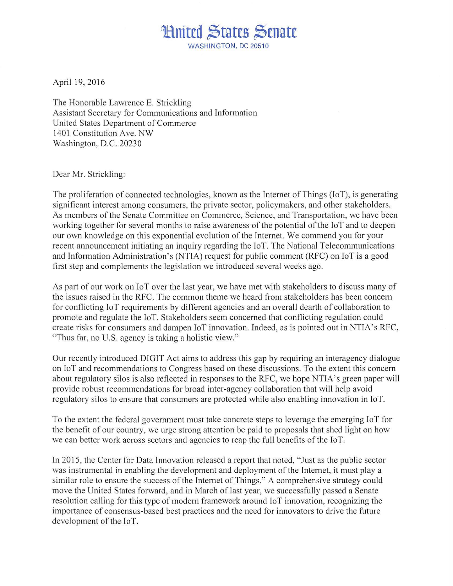## **Limited States Senate** WASHINGTON, DC 20510

April 19,2016

The Honorable Lawrence E. Strickling Assistant Secretary for Communications and Information United States Department of Commerce 1401 Constitution Ave. NW Washington, D.C. 20230

Dear Mr. Strickling:

The proliferation of connected technologies, known as the Internet of Things (loT), is generating significant interest among consumers, the private sector, policymakers, and other stakeholders. As members of the Senate Committee on Commerce, Science, and Transportation, we have been working together for several months to raise awareness of the potential of the loT and to deepen our own knowledge on this exponential evolution of the Internet. We commend you for your recent announcement initiating an inquiry regarding the loT. The National Telecommunications and Information Administration's (NTIA) request for public comment (RFC) on loT is a good first step and complements the legislation we introduced several weeks ago.

As part of our work on IoT over the last year, we have met with stakeholders to discuss many of the issues raised in the RFC. The common theme we heard from stakeholders has been concern for conflicting loT requirements by different agencies and an overall dearth of collaboration to promote and regulate the loT. Stakeholders seem concerned that conflicting regulation could create risks for consumers and dampen loT innovation. Indeed, as is pointed out in NTIA 's RFC, "Thus far, no U.S. agency is taking a holistic view."

Our recently introduced DIGIT Act aims to address this gap by requiring an interagency dialogue on loT and recommendations to Congress based on these discussions. To the extent this concern about regulatory silos is also reflected in responses to the RFC, we hope NTIA's green paper will provide robust recommendations for broad inter-agency collaboration that will help avoid regulatory silos to ensure that consumers are protected while also enabling innovation in loT.

To the extent the federal government must take concrete steps to leverage the emerging IoT for the benefit of our country, we urge strong attention be paid to proposals that shed light on how we can better work across sectors and agencies to reap the full benefits of the IoT.

In 2015 , the Center for Data Innovation released a report that noted, " Just as the public sector was instrumental in enabling the development and deployment of the Internet, it must play a similar role to ensure the success of the Internet of Things." A comprehensive strategy could move the United States forward, and in March of last year, we successfully passed a Senate resolution calling for this type of modern framework around loT innovation, recognizing the importance of consensus-based best practices and the need for innovators to drive the future development of the JoT.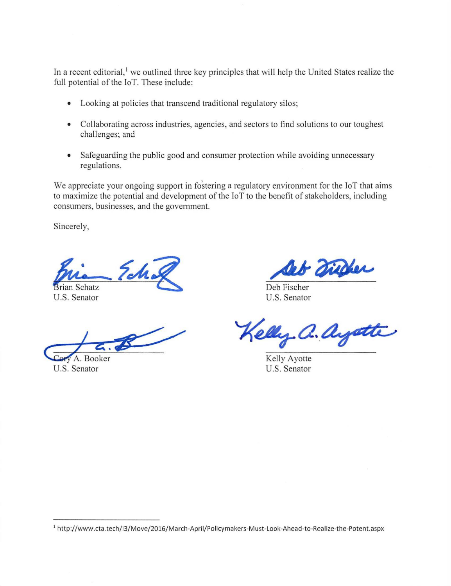In a recent editorial,<sup>1</sup> we outlined three key principles that will help the United States realize the full potential of the loT. These include:

- Looking at policies that transcend traditional regulatory silos;
- Collaborating across industries, agencies, and sectors to find solutions to our toughest challenges; and
- Safeguarding the public good and consumer protection while avoiding unnecessary regulations.

We appreciate your ongoing support in fostering a regulatory environment for the IoT that aims to maximize the potential and development of the loT to the benefit of stakeholders, including consumers, businesses, and the government.

Sincerely,

**Brian Schatz** U.S. Senator

 $G_{\text{c}}$   $\alpha$  .

U.S. Senator

- marie

Deb Fischer U.S. Senator

elly a. ay

Kelly Ayotte U.S. Senator

<sup>&</sup>lt;sup>1</sup> http://www.cta.tech/i3/Move/2016/March-April/Policymakers-Must-Look-Ahead-to-Realize-the-Potent.aspx